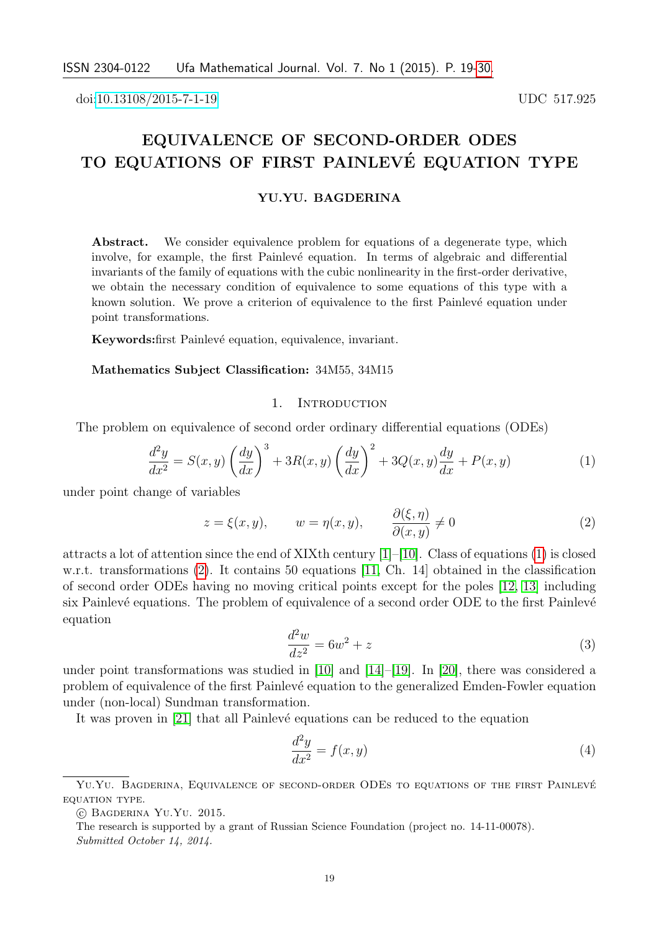doi[:10.13108/2015-7-1-19](http://dx.doi.org/10.13108/2015-7-1-19) UDC 517.925

# EQUIVALENCE OF SECOND-ORDER ODES TO EQUATIONS OF FIRST PAINLEVÉ EQUATION TYPE

### YU.YU. BAGDERINA

Abstract. We consider equivalence problem for equations of a degenerate type, which involve, for example, the first Painlevé equation. In terms of algebraic and differential invariants of the family of equations with the cubic nonlinearity in the first-order derivative, we obtain the necessary condition of equivalence to some equations of this type with a known solution. We prove a criterion of equivalence to the first Painlevé equation under point transformations.

Keywords: first Painlevé equation, equivalence, invariant.

# Mathematics Subject Classification: 34M55, 34M15

### 1. INTRODUCTION

The problem on equivalence of second order ordinary differential equations (ODEs)

<span id="page-0-0"></span>
$$
\frac{d^2y}{dx^2} = S(x,y)\left(\frac{dy}{dx}\right)^3 + 3R(x,y)\left(\frac{dy}{dx}\right)^2 + 3Q(x,y)\frac{dy}{dx} + P(x,y)
$$
\n(1)

under point change of variables

<span id="page-0-1"></span>
$$
z = \xi(x, y), \qquad w = \eta(x, y), \qquad \frac{\partial(\xi, \eta)}{\partial(x, y)} \neq 0 \tag{2}
$$

attracts a lot of attention since the end of XIXth century  $[1]-[10]$  $[1]-[10]$ . Class of equations [\(1\)](#page-0-0) is closed w.r.t. transformations [\(2\)](#page-0-1). It contains 50 equations [\[11,](#page-10-2) Ch. 14] obtained in the classification of second order ODEs having no moving critical points except for the poles [\[12,](#page-10-3) [13\]](#page-10-4) including six Painlevé equations. The problem of equivalence of a second order ODE to the first Painlevé equation

<span id="page-0-3"></span>
$$
\frac{d^2w}{dz^2} = 6w^2 + z\tag{3}
$$

under point transformations was studied in [\[10\]](#page-10-1) and [\[14\]](#page-10-5)–[\[19\]](#page-11-1). In [\[20\]](#page-11-2), there was considered a problem of equivalence of the first Painlevé equation to the generalized Emden-Fowler equation under (non-local) Sundman transformation.

It was proven in [\[21\]](#page-11-3) that all Painlevé equations can be reduced to the equation

<span id="page-0-2"></span>
$$
\frac{d^2y}{dx^2} = f(x, y) \tag{4}
$$

YU.YU. BAGDERINA, EQUIVALENCE OF SECOND-ORDER ODES TO EQUATIONS OF THE FIRST PAINLEVÉ equation type.

<sup>○</sup>c Bagderina Yu.Yu. 2015.

The research is supported by a grant of Russian Science Foundation (project no. 14-11-00078). Submitted October 14, 2014.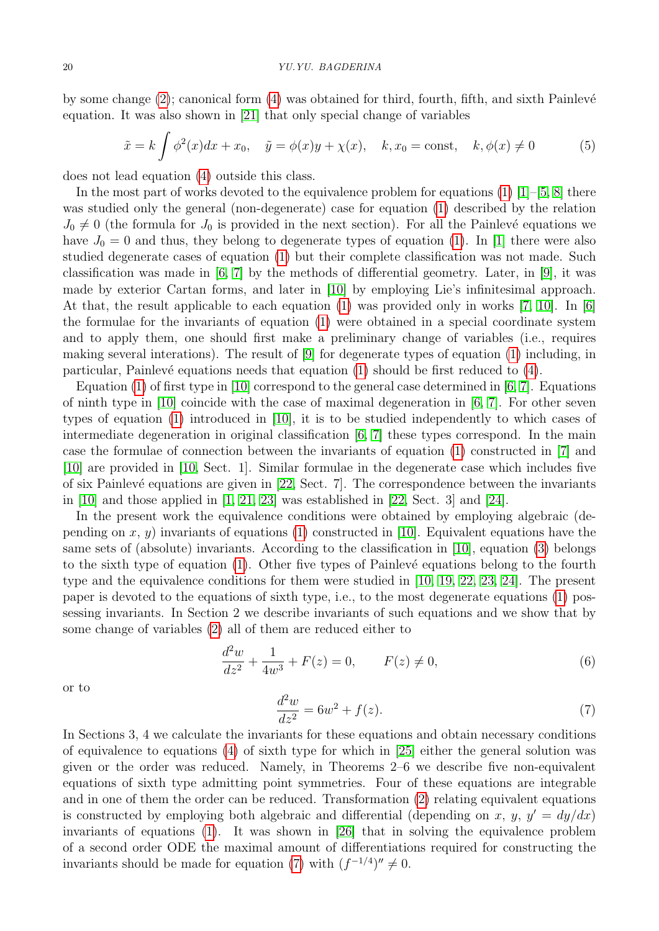by some change  $(2)$ ; canonical form  $(4)$  was obtained for third, fourth, fifth, and sixth Painlevé equation. It was also shown in [\[21\]](#page-11-3) that only special change of variables

<span id="page-1-1"></span>
$$
\tilde{x} = k \int \phi^2(x) dx + x_0, \quad \tilde{y} = \phi(x)y + \chi(x), \quad k, x_0 = \text{const}, \quad k, \phi(x) \neq 0 \tag{5}
$$

does not lead equation [\(4\)](#page-0-2) outside this class.

In the most part of works devoted to the equivalence problem for equations  $(1)$  [\[1\]](#page-10-0)–[\[5,](#page-10-6) [8\]](#page-10-7) there was studied only the general (non-degenerate) case for equation [\(1\)](#page-0-0) described by the relation  $J_0 \neq 0$  (the formula for  $J_0$  is provided in the next section). For all the Painlevé equations we have  $J_0 = 0$  and thus, they belong to degenerate types of equation [\(1\)](#page-0-0). In [\[1\]](#page-10-0) there were also studied degenerate cases of equation [\(1\)](#page-0-0) but their complete classification was not made. Such classification was made in [\[6,](#page-10-8) [7\]](#page-10-9) by the methods of differential geometry. Later, in [\[9\]](#page-10-10), it was made by exterior Cartan forms, and later in [\[10\]](#page-10-1) by employing Lie's infinitesimal approach. At that, the result applicable to each equation [\(1\)](#page-0-0) was provided only in works [\[7,](#page-10-9) [10\]](#page-10-1). In [\[6\]](#page-10-8) the formulae for the invariants of equation [\(1\)](#page-0-0) were obtained in a special coordinate system and to apply them, one should first make a preliminary change of variables (i.e., requires making several interations). The result of [\[9\]](#page-10-10) for degenerate types of equation [\(1\)](#page-0-0) including, in particular, Painlevé equations needs that equation  $(1)$  should be first reduced to  $(4)$ .

Equation [\(1\)](#page-0-0) of first type in [\[10\]](#page-10-1) correspond to the general case determined in  $[6, 7]$  $[6, 7]$ . Equations of ninth type in [\[10\]](#page-10-1) coincide with the case of maximal degeneration in  $[6, 7]$  $[6, 7]$ . For other seven types of equation [\(1\)](#page-0-0) introduced in [\[10\]](#page-10-1), it is to be studied independently to which cases of intermediate degeneration in original classification  $[6, 7]$  $[6, 7]$  these types correspond. In the main case the formulae of connection between the invariants of equation [\(1\)](#page-0-0) constructed in [\[7\]](#page-10-9) and [\[10\]](#page-10-1) are provided in [\[10,](#page-10-1) Sect. 1]. Similar formulae in the degenerate case which includes five of six Painlevé equations are given in  $[22, Sect. 7]$ . The correspondence between the invariants in [\[10\]](#page-10-1) and those applied in [\[1,](#page-10-0) [21,](#page-11-3) [23\]](#page-11-5) was established in [\[22,](#page-11-4) Sect. 3] and [\[24\]](#page-11-6).

In the present work the equivalence conditions were obtained by employing algebraic (depending on  $x, y$  invariants of equations [\(1\)](#page-0-0) constructed in [\[10\]](#page-10-1). Equivalent equations have the same sets of (absolute) invariants. According to the classification in [\[10\]](#page-10-1), equation [\(3\)](#page-0-3) belongs to the sixth type of equation  $(1)$ . Other five types of Painlevé equations belong to the fourth type and the equivalence conditions for them were studied in [\[10,](#page-10-1) [19,](#page-11-1) [22,](#page-11-4) [23,](#page-11-5) [24\]](#page-11-6). The present paper is devoted to the equations of sixth type, i.e., to the most degenerate equations [\(1\)](#page-0-0) possessing invariants. In Section 2 we describe invariants of such equations and we show that by some change of variables [\(2\)](#page-0-1) all of them are reduced either to

<span id="page-1-2"></span>
$$
\frac{d^2w}{dz^2} + \frac{1}{4w^3} + F(z) = 0, \qquad F(z) \neq 0,
$$
\n(6)

or to

<span id="page-1-0"></span>
$$
\frac{d^2w}{dz^2} = 6w^2 + f(z).
$$
 (7)

In Sections 3, 4 we calculate the invariants for these equations and obtain necessary conditions of equivalence to equations [\(4\)](#page-0-2) of sixth type for which in [\[25\]](#page-11-7) either the general solution was given or the order was reduced. Namely, in Theorems 2–6 we describe five non-equivalent equations of sixth type admitting point symmetries. Four of these equations are integrable and in one of them the order can be reduced. Transformation [\(2\)](#page-0-1) relating equivalent equations is constructed by employing both algebraic and differential (depending on x, y,  $y' = dy/dx$ ) invariants of equations [\(1\)](#page-0-0). It was shown in [\[26\]](#page-11-8) that in solving the equivalence problem of a second order ODE the maximal amount of differentiations required for constructing the invariants should be made for equation [\(7\)](#page-1-0) with  $(f^{-1/4})'' \neq 0$ .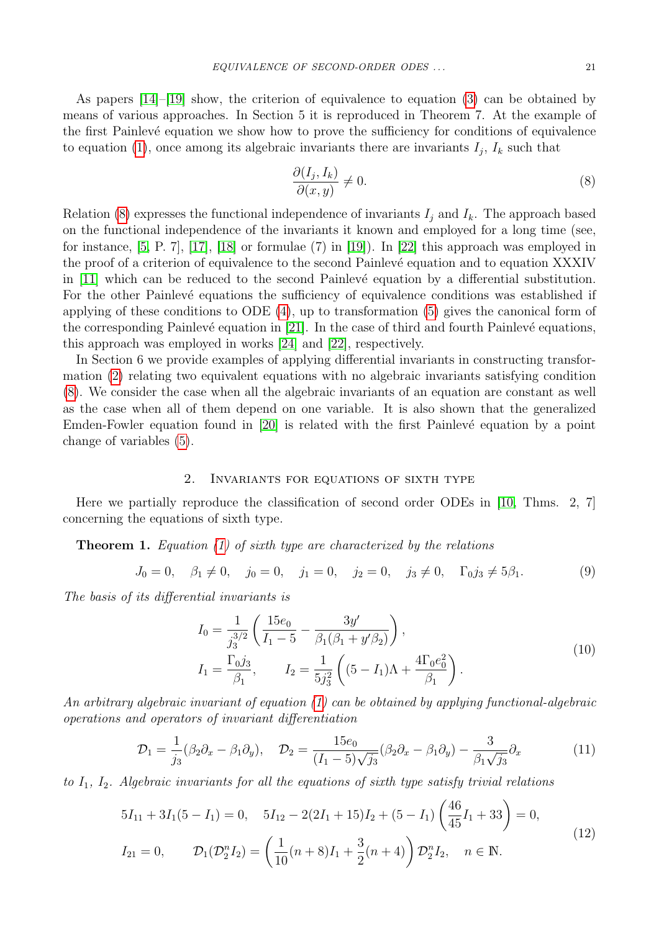As papers [\[14\]](#page-10-5)–[\[19\]](#page-11-1) show, the criterion of equivalence to equation [\(3\)](#page-0-3) can be obtained by means of various approaches. In Section 5 it is reproduced in Theorem 7. At the example of the first Painlevé equation we show how to prove the sufficiency for conditions of equivalence to equation [\(1\)](#page-0-0), once among its algebraic invariants there are invariants  $I_j$ ,  $I_k$  such that

<span id="page-2-0"></span>
$$
\frac{\partial(I_j, I_k)}{\partial(x, y)} \neq 0. \tag{8}
$$

Relation [\(8\)](#page-2-0) expresses the functional independence of invariants  $I_i$  and  $I_k$ . The approach based on the functional independence of the invariants it known and employed for a long time (see, for instance, [\[5,](#page-10-6) P. 7], [\[17\]](#page-11-9), [\[18\]](#page-11-10) or formulae (7) in [\[19\]](#page-11-1)). In [\[22\]](#page-11-4) this approach was employed in the proof of a criterion of equivalence to the second Painlevé equation and to equation XXXIV in [\[11\]](#page-10-2) which can be reduced to the second Painlevé equation by a differential substitution. For the other Painlevé equations the sufficiency of equivalence conditions was established if applying of these conditions to ODE [\(4\)](#page-0-2), up to transformation [\(5\)](#page-1-1) gives the canonical form of the corresponding Painlevé equation in  $[21]$ . In the case of third and fourth Painlevé equations, this approach was employed in works [\[24\]](#page-11-6) and [\[22\]](#page-11-4), respectively.

In Section 6 we provide examples of applying differential invariants in constructing transformation [\(2\)](#page-0-1) relating two equivalent equations with no algebraic invariants satisfying condition [\(8\)](#page-2-0). We consider the case when all the algebraic invariants of an equation are constant as well as the case when all of them depend on one variable. It is also shown that the generalized Emden-Fowler equation found in  $[20]$  is related with the first Painlevé equation by a point change of variables [\(5\)](#page-1-1).

# 2. Invariants for equations of sixth type

Here we partially reproduce the classification of second order ODEs in [\[10,](#page-10-1) Thms. 2, 7] concerning the equations of sixth type.

**Theorem 1.** Equation [\(1\)](#page-0-0) of sixth type are characterized by the relations

<span id="page-2-2"></span>
$$
J_0 = 0, \quad \beta_1 \neq 0, \quad j_0 = 0, \quad j_1 = 0, \quad j_2 = 0, \quad j_3 \neq 0, \quad \Gamma_0 j_3 \neq 5\beta_1. \tag{9}
$$

The basis of its differential invariants is

<span id="page-2-4"></span>
$$
I_0 = \frac{1}{j_3^{3/2}} \left( \frac{15e_0}{I_1 - 5} - \frac{3y'}{\beta_1(\beta_1 + y'\beta_2)} \right),
$$
  
\n
$$
I_1 = \frac{\Gamma_0 j_3}{\beta_1}, \qquad I_2 = \frac{1}{5j_3^2} \left( (5 - I_1)\Lambda + \frac{4\Gamma_0 e_0^2}{\beta_1} \right).
$$
\n(10)

An arbitrary algebraic invariant of equation [\(1\)](#page-0-0) can be obtained by applying functional-algebraic operations and operators of invariant differentiation

<span id="page-2-1"></span>
$$
\mathcal{D}_1 = \frac{1}{j_3} (\beta_2 \partial_x - \beta_1 \partial_y), \quad \mathcal{D}_2 = \frac{15e_0}{(I_1 - 5)\sqrt{j_3}} (\beta_2 \partial_x - \beta_1 \partial_y) - \frac{3}{\beta_1 \sqrt{j_3}} \partial_x \tag{11}
$$

to  $I_1$ ,  $I_2$ . Algebraic invariants for all the equations of sixth type satisfy trivial relations

<span id="page-2-3"></span>
$$
5I_{11} + 3I_1(5 - I_1) = 0, \quad 5I_{12} - 2(2I_1 + 15)I_2 + (5 - I_1) \left(\frac{46}{45}I_1 + 33\right) = 0,
$$
  
\n
$$
I_{21} = 0, \qquad \mathcal{D}_1(\mathcal{D}_2^n I_2) = \left(\frac{1}{10}(n+8)I_1 + \frac{3}{2}(n+4)\right)\mathcal{D}_2^n I_2, \quad n \in \mathbb{N}.
$$
\n(12)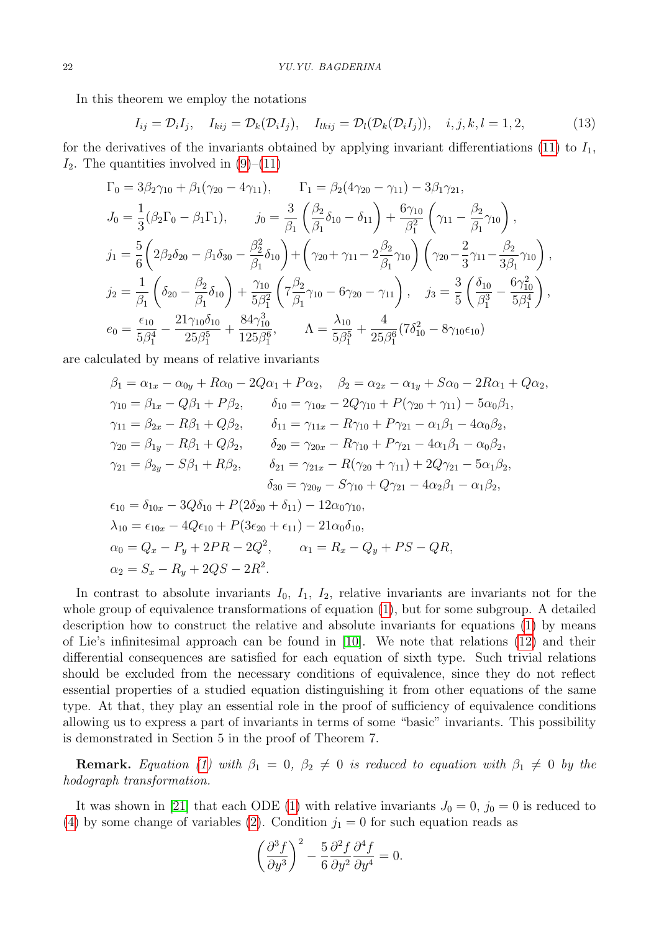In this theorem we employ the notations

<span id="page-3-0"></span>
$$
I_{ij} = \mathcal{D}_i I_j, \quad I_{kij} = \mathcal{D}_k(\mathcal{D}_i I_j), \quad I_{lkij} = \mathcal{D}_l(\mathcal{D}_k(\mathcal{D}_i I_j)), \quad i, j, k, l = 1, 2,
$$
\n
$$
(13)
$$

for the derivatives of the invariants obtained by applying invariant differentiations [\(11\)](#page-2-1) to  $I_1$ ,  $I_2$ . The quantities involved in  $(9)–(11)$  $(9)–(11)$ 

$$
\Gamma_0 = 3\beta_2\gamma_{10} + \beta_1(\gamma_{20} - 4\gamma_{11}), \qquad \Gamma_1 = \beta_2(4\gamma_{20} - \gamma_{11}) - 3\beta_1\gamma_{21},
$$
\n
$$
J_0 = \frac{1}{3}(\beta_2\Gamma_0 - \beta_1\Gamma_1), \qquad j_0 = \frac{3}{\beta_1}(\frac{\beta_2}{\beta_1}\delta_{10} - \delta_{11}) + \frac{6\gamma_{10}}{\beta_1^2}(\gamma_{11} - \frac{\beta_2}{\beta_1}\gamma_{10}),
$$
\n
$$
j_1 = \frac{5}{6}(\beta_2\delta_{20} - \beta_1\delta_{30} - \frac{\beta_2^2}{\beta_1}\delta_{10}) + (\gamma_{20} + \gamma_{11} - 2\frac{\beta_2}{\beta_1}\gamma_{10})(\gamma_{20} - \frac{2}{3}\gamma_{11} - \frac{\beta_2}{3\beta_1}\gamma_{10}),
$$
\n
$$
j_2 = \frac{1}{\beta_1}(\delta_{20} - \frac{\beta_2}{\beta_1}\delta_{10}) + \frac{\gamma_{10}}{5\beta_1^2}(\tau_{\beta_1}^{\beta_2}\gamma_{10} - 6\gamma_{20} - \gamma_{11}), \qquad j_3 = \frac{3}{5}(\frac{\delta_{10}}{\beta_1^3} - \frac{6\gamma_{10}^2}{5\beta_1^4}),
$$
\n
$$
e_0 = \frac{\epsilon_{10}}{5\beta_1^4} - \frac{21\gamma_{10}\delta_{10}}{25\beta_1^5} + \frac{84\gamma_{10}^3}{125\beta_1^6}, \qquad \Lambda = \frac{\lambda_{10}}{5\beta_1^5} + \frac{4}{25\beta_1^6}(7\delta_{10}^2 - 8\gamma_{10}\epsilon_{10})
$$

are calculated by means of relative invariants

$$
\beta_1 = \alpha_{1x} - \alpha_{0y} + R\alpha_0 - 2Q\alpha_1 + P\alpha_2, \quad \beta_2 = \alpha_{2x} - \alpha_{1y} + S\alpha_0 - 2R\alpha_1 + Q\alpha_2, \n\gamma_{10} = \beta_{1x} - Q\beta_1 + P\beta_2, \qquad \delta_{10} = \gamma_{10x} - 2Q\gamma_{10} + P(\gamma_{20} + \gamma_{11}) - 5\alpha_0\beta_1, \n\gamma_{11} = \beta_{2x} - R\beta_1 + Q\beta_2, \qquad \delta_{11} = \gamma_{11x} - R\gamma_{10} + P\gamma_{21} - \alpha_1\beta_1 - 4\alpha_0\beta_2, \n\gamma_{20} = \beta_{1y} - R\beta_1 + Q\beta_2, \qquad \delta_{20} = \gamma_{20x} - R\gamma_{10} + P\gamma_{21} - 4\alpha_1\beta_1 - \alpha_0\beta_2, \n\gamma_{21} = \beta_{2y} - S\beta_1 + R\beta_2, \qquad \delta_{21} = \gamma_{21x} - R(\gamma_{20} + \gamma_{11}) + 2Q\gamma_{21} - 5\alpha_1\beta_2, \n\delta_{30} = \gamma_{20y} - S\gamma_{10} + Q\gamma_{21} - 4\alpha_2\beta_1 - \alpha_1\beta_2, \n\epsilon_{10} = \delta_{10x} - 3Q\delta_{10} + P(2\delta_{20} + \delta_{11}) - 12\alpha_0\gamma_{10}, \n\lambda_{10} = \epsilon_{10x} - 4Q\epsilon_{10} + P(3\epsilon_{20} + \epsilon_{11}) - 21\alpha_0\delta_{10}, \n\alpha_0 = Q_x - P_y + 2PR - 2Q^2, \qquad \alpha_1 = R_x - Q_y + PS - QR, \n\alpha_2 = S_x - R_y + 2QS - 2R^2.
$$

In contrast to absolute invariants  $I_0$ ,  $I_1$ ,  $I_2$ , relative invariants are invariants not for the whole group of equivalence transformations of equation [\(1\)](#page-0-0), but for some subgroup. A detailed description how to construct the relative and absolute invariants for equations [\(1\)](#page-0-0) by means of Lie's infinitesimal approach can be found in [\[10\]](#page-10-1). We note that relations [\(12\)](#page-2-3) and their differential consequences are satisfied for each equation of sixth type. Such trivial relations should be excluded from the necessary conditions of equivalence, since they do not reflect essential properties of a studied equation distinguishing it from other equations of the same type. At that, they play an essential role in the proof of sufficiency of equivalence conditions allowing us to express a part of invariants in terms of some "basic" invariants. This possibility is demonstrated in Section 5 in the proof of Theorem 7.

**Remark.** Equation [\(1\)](#page-0-0) with  $\beta_1 = 0$ ,  $\beta_2 \neq 0$  is reduced to equation with  $\beta_1 \neq 0$  by the hodograph transformation.

It was shown in [\[21\]](#page-11-3) that each ODE [\(1\)](#page-0-0) with relative invariants  $J_0 = 0$ ,  $j_0 = 0$  is reduced to [\(4\)](#page-0-2) by some change of variables [\(2\)](#page-0-1). Condition  $j_1 = 0$  for such equation reads as

$$
\left(\frac{\partial^3 f}{\partial y^3}\right)^2 - \frac{5}{6} \frac{\partial^2 f}{\partial y^2} \frac{\partial^4 f}{\partial y^4} = 0.
$$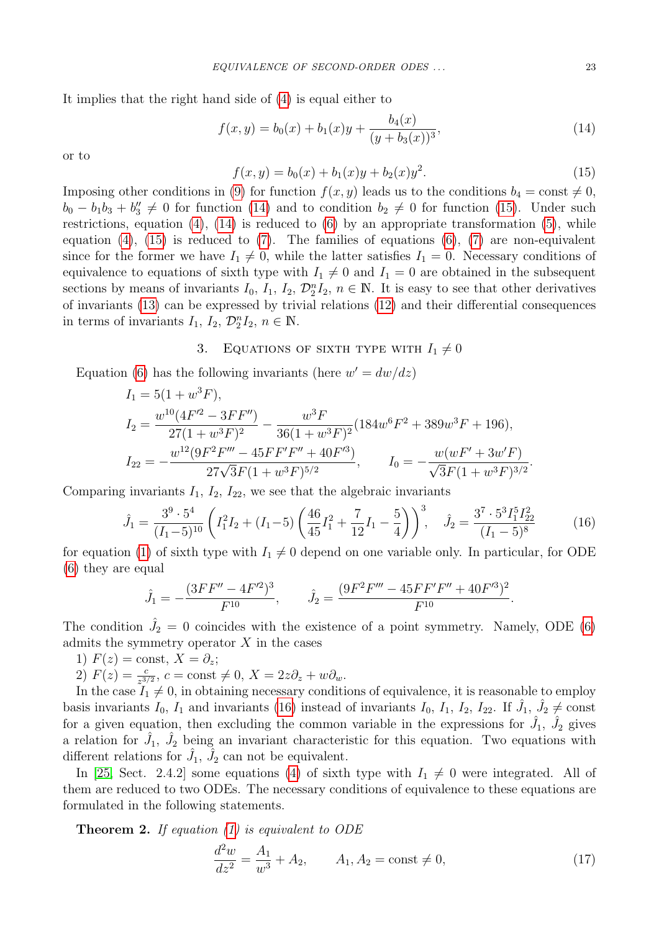It implies that the right hand side of [\(4\)](#page-0-2) is equal either to

<span id="page-4-0"></span>
$$
f(x,y) = b_0(x) + b_1(x)y + \frac{b_4(x)}{(y+b_3(x))^3},
$$
\n(14)

or to

<span id="page-4-1"></span>
$$
f(x,y) = b_0(x) + b_1(x)y + b_2(x)y^2.
$$
 (15)

Imposing other conditions in [\(9\)](#page-2-2) for function  $f(x, y)$  leads us to the conditions  $b_4 = \text{const} \neq 0$ ,  $b_0 - b_1 b_3 + b''_3 \neq 0$  for function [\(14\)](#page-4-0) and to condition  $b_2 \neq 0$  for function [\(15\)](#page-4-1). Under such restrictions, equation  $(4)$ ,  $(14)$  is reduced to  $(6)$  by an appropriate transformation  $(5)$ , while equation  $(4)$ ,  $(15)$  is reduced to  $(7)$ . The families of equations  $(6)$ ,  $(7)$  are non-equivalent since for the former we have  $I_1 \neq 0$ , while the latter satisfies  $I_1 = 0$ . Necessary conditions of equivalence to equations of sixth type with  $I_1 \neq 0$  and  $I_1 = 0$  are obtained in the subsequent sections by means of invariants  $I_0$ ,  $I_1$ ,  $I_2$ ,  $\mathcal{D}_2^n I_2$ ,  $n \in \mathbb{N}$ . It is easy to see that other derivatives of invariants [\(13\)](#page-3-0) can be expressed by trivial relations [\(12\)](#page-2-3) and their differential consequences in terms of invariants  $I_1$ ,  $I_2$ ,  $\mathcal{D}_2^n I_2$ ,  $n \in \mathbb{N}$ .

# 3. EQUATIONS OF SIXTH TYPE WITH  $I_1 \neq 0$

Equation [\(6\)](#page-1-2) has the following invariants (here  $w' = dw/dz$ )

$$
I_1 = 5(1 + w^3 F),
$$
  
\n
$$
I_2 = \frac{w^{10}(4F'^2 - 3FF'')}{27(1 + w^3F)^2} - \frac{w^3F}{36(1 + w^3F)^2}(184w^6F^2 + 389w^3F + 196),
$$
  
\n
$$
I_{22} = -\frac{w^{12}(9F^2F''' - 45FF'F'' + 40F'^3)}{27\sqrt{3}F(1 + w^3F)^{5/2}}, \qquad I_0 = -\frac{w(wF' + 3w'F)}{\sqrt{3}F(1 + w^3F)^{3/2}}.
$$

Comparing invariants  $I_1$ ,  $I_2$ ,  $I_{22}$ , we see that the algebraic invariants

<span id="page-4-2"></span>
$$
\hat{J}_1 = \frac{3^9 \cdot 5^4}{(I_1 - 5)^{10}} \left( I_1^2 I_2 + (I_1 - 5) \left( \frac{46}{45} I_1^2 + \frac{7}{12} I_1 - \frac{5}{4} \right) \right)^3, \quad \hat{J}_2 = \frac{3^7 \cdot 5^3 I_1^5 I_{22}^2}{(I_1 - 5)^8} \tag{16}
$$

for equation [\(1\)](#page-0-0) of sixth type with  $I_1 \neq 0$  depend on one variable only. In particular, for ODE [\(6\)](#page-1-2) they are equal

$$
\hat{J}_1 = -\frac{(3FF'' - 4F'^2)^3}{F^{10}}, \qquad \hat{J}_2 = \frac{(9F^2F''' - 45FF'F'' + 40F'^3)^2}{F^{10}}.
$$

The condition  $\hat{J}_2 = 0$  coincides with the existence of a point symmetry. Namely, ODE [\(6\)](#page-1-2) admits the symmetry operator  $X$  in the cases

- 1)  $F(z) = \text{const}, X = \partial_z;$
- 2)  $F(z) = \frac{c}{z^{3/2}}$ ,  $c = \text{const} \neq 0$ ,  $X = 2z\partial_z + w\partial_w$ .

In the case  $I_1 \neq 0$ , in obtaining necessary conditions of equivalence, it is reasonable to employ basis invariants  $I_0$ ,  $I_1$  and invariants [\(16\)](#page-4-2) instead of invariants  $I_0$ ,  $I_1$ ,  $I_2$ ,  $I_{22}$ . If  $\hat{J}_1$ ,  $\hat{J}_2 \neq \text{const}$ for a given equation, then excluding the common variable in the expressions for  $\hat{J}_1$ ,  $\hat{J}_2$  gives a relation for  $\hat{J}_1$ ,  $\hat{J}_2$  being an invariant characteristic for this equation. Two equations with different relations for  $\hat{J}_1$ ,  $\hat{J}_2$  can not be equivalent.

In [\[25,](#page-11-7) Sect. 2.4.2] some equations [\(4\)](#page-0-2) of sixth type with  $I_1 \neq 0$  were integrated. All of them are reduced to two ODEs. The necessary conditions of equivalence to these equations are formulated in the following statements.

**Theorem 2.** If equation  $(1)$  is equivalent to ODE

<span id="page-4-3"></span>
$$
\frac{d^2w}{dz^2} = \frac{A_1}{w^3} + A_2, \qquad A_1, A_2 = \text{const} \neq 0,
$$
\n(17)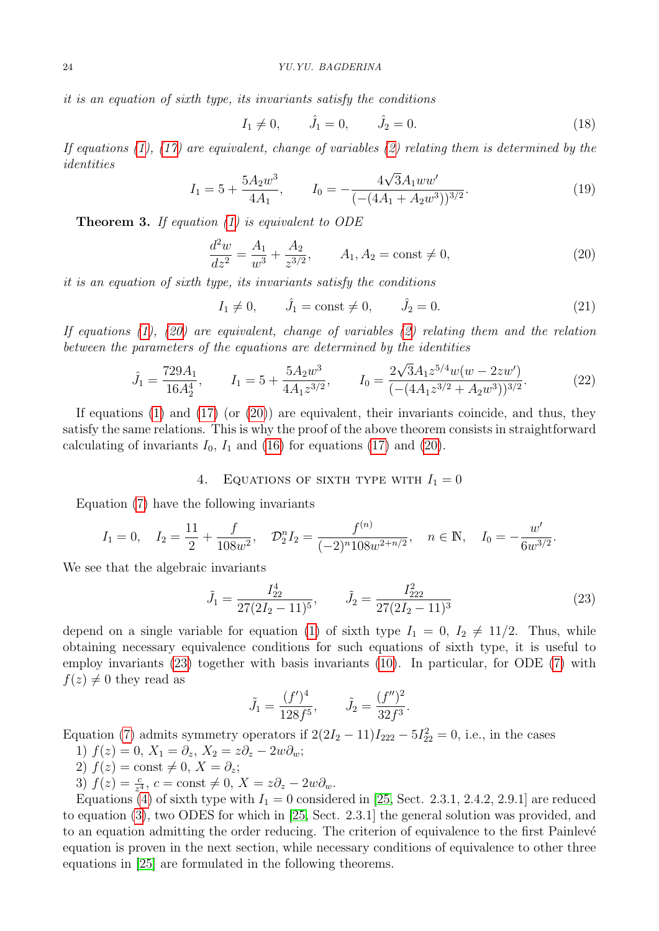it is an equation of sixth type, its invariants satisfy the conditions

<span id="page-5-2"></span>
$$
I_1 \neq 0, \qquad \hat{J}_1 = 0, \qquad \hat{J}_2 = 0. \tag{18}
$$

If equations  $(1)$ ,  $(17)$  are equivalent, change of variables  $(2)$  relating them is determined by the identities √

<span id="page-5-3"></span>
$$
I_1 = 5 + \frac{5A_2w^3}{4A_1}, \qquad I_0 = -\frac{4\sqrt{3}A_1ww'}{(-(4A_1 + A_2w^3))^{3/2}}.
$$
\n(19)

**Theorem 3.** If equation  $(1)$  is equivalent to ODE

<span id="page-5-0"></span>
$$
\frac{d^2w}{dz^2} = \frac{A_1}{w^3} + \frac{A_2}{z^{3/2}}, \qquad A_1, A_2 = \text{const} \neq 0,
$$
\n(20)

it is an equation of sixth type, its invariants satisfy the conditions

$$
I_1 \neq 0
$$
,  $\hat{J}_1 = \text{const} \neq 0$ ,  $\hat{J}_2 = 0$ . (21)

If equations [\(1\)](#page-0-0), [\(20\)](#page-5-0) are equivalent, change of variables [\(2\)](#page-0-1) relating them and the relation between the parameters of the equations are determined by the identities

$$
\hat{J}_1 = \frac{729A_1}{16A_2^4}, \qquad I_1 = 5 + \frac{5A_2w^3}{4A_1z^{3/2}}, \qquad I_0 = \frac{2\sqrt{3}A_1z^{5/4}w(w - 2zw')}{(-\left((4A_1z^{3/2} + A_2w^3)\right)^{3/2}}.
$$
\n(22)

If equations [\(1\)](#page-0-0) and [\(17\)](#page-4-3) (or  $(20)$ ) are equivalent, their invariants coincide, and thus, they satisfy the same relations. This is why the proof of the above theorem consists in straightforward calculating of invariants  $I_0$ ,  $I_1$  and [\(16\)](#page-4-2) for equations [\(17\)](#page-4-3) and [\(20\)](#page-5-0).

# 4. EQUATIONS OF SIXTH TYPE WITH  $I_1 = 0$

Equation [\(7\)](#page-1-0) have the following invariants

$$
I_1 = 0
$$
,  $I_2 = \frac{11}{2} + \frac{f}{108w^2}$ ,  $\mathcal{D}_2^n I_2 = \frac{f^{(n)}}{(-2)^n 108w^{2+n/2}}$ ,  $n \in \mathbb{N}$ ,  $I_0 = -\frac{w'}{6w^{3/2}}$ .

We see that the algebraic invariants

<span id="page-5-1"></span>
$$
\tilde{J}_1 = \frac{I_{22}^4}{27(2I_2 - 11)^5}, \qquad \tilde{J}_2 = \frac{I_{222}^2}{27(2I_2 - 11)^3} \tag{23}
$$

depend on a single variable for equation [\(1\)](#page-0-0) of sixth type  $I_1 = 0$ ,  $I_2 \neq 11/2$ . Thus, while obtaining necessary equivalence conditions for such equations of sixth type, it is useful to employ invariants [\(23\)](#page-5-1) together with basis invariants [\(10\)](#page-2-4). In particular, for ODE [\(7\)](#page-1-0) with  $f(z) \neq 0$  they read as

$$
\tilde{J}_1 = \frac{(f')^4}{128f^5}, \qquad \tilde{J}_2 = \frac{(f'')^2}{32f^3}.
$$

Equation [\(7\)](#page-1-0) admits symmetry operators if  $2(2I_2 - 11)I_{222} - 5I_{22}^2 = 0$ , i.e., in the cases

- 1)  $f(z) = 0$ ,  $X_1 = \partial_z$ ,  $X_2 = z\partial_z 2w\partial_w$ ;
- 2)  $f(z) = \text{const} \neq 0, X = \partial_z;$
- 3)  $f(z) = \frac{c}{z^4}$ ,  $c = \text{const} \neq 0$ ,  $X = z\partial_z 2w\partial_w$ .

Equations [\(4\)](#page-0-2) of sixth type with  $I_1 = 0$  considered in [\[25,](#page-11-7) Sect. 2.3.1, 2.4.2, 2.9.1] are reduced to equation [\(3\)](#page-0-3), two ODES for which in [\[25,](#page-11-7) Sect. 2.3.1] the general solution was provided, and to an equation admitting the order reducing. The criterion of equivalence to the first Painlevé equation is proven in the next section, while necessary conditions of equivalence to other three equations in [\[25\]](#page-11-7) are formulated in the following theorems.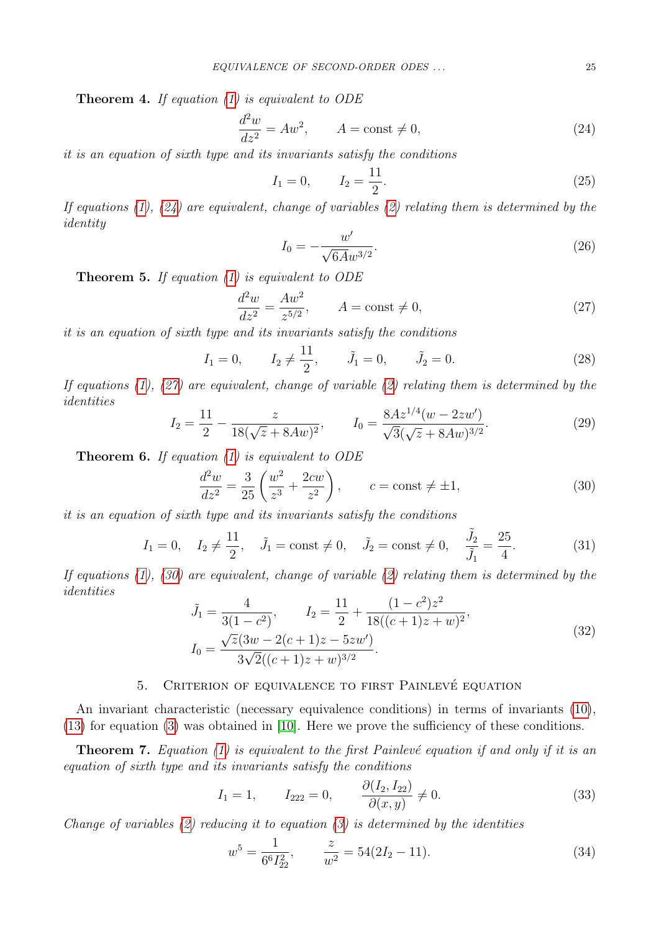**Theorem 4.** If equation  $(1)$  is equivalent to ODE

<span id="page-6-0"></span>
$$
\frac{d^2w}{dz^2} = Aw^2, \qquad A = \text{const} \neq 0,
$$
\n(24)

it is an equation of sixth type and its invariants satisfy the conditions

<span id="page-6-5"></span>
$$
I_1 = 0, \qquad I_2 = \frac{11}{2}.
$$
\n<sup>(25)</sup>

If equations  $(1)$ ,  $(24)$  are equivalent, change of variables  $(2)$  relating them is determined by the identity

$$
I_0 = -\frac{w'}{\sqrt{6A}w^{3/2}}.\t(26)
$$

**Theorem 5.** If equation  $(1)$  is equivalent to ODE

<span id="page-6-1"></span>
$$
\frac{d^2w}{dz^2} = \frac{Aw^2}{z^{5/2}}, \qquad A = \text{const} \neq 0,
$$
\n(27)

it is an equation of sixth type and its invariants satisfy the conditions

<span id="page-6-6"></span>
$$
I_1 = 0,
$$
  $I_2 \neq \frac{11}{2},$   $\tilde{J}_1 = 0,$   $\tilde{J}_2 = 0.$  (28)

If equations [\(1\)](#page-0-0), [\(27\)](#page-6-1) are equivalent, change of variable [\(2\)](#page-0-1) relating them is determined by the identities

$$
I_2 = \frac{11}{2} - \frac{z}{18(\sqrt{z} + 8Aw)^2}, \qquad I_0 = \frac{8Az^{1/4}(w - 2zw')}{\sqrt{3}(\sqrt{z} + 8Aw)^{3/2}}.
$$
 (29)

**Theorem 6.** If equation  $(1)$  is equivalent to ODE

<span id="page-6-2"></span>
$$
\frac{d^2w}{dz^2} = \frac{3}{25} \left( \frac{w^2}{z^3} + \frac{2cw}{z^2} \right), \qquad c = \text{const} \neq \pm 1,
$$
\n(30)

it is an equation of sixth type and its invariants satisfy the conditions

<span id="page-6-7"></span>
$$
I_1 = 0
$$
,  $I_2 \neq \frac{11}{2}$ ,  $\tilde{J}_1 = \text{const} \neq 0$ ,  $\tilde{J}_2 = \text{const} \neq 0$ ,  $\frac{\tilde{J}_2}{\tilde{J}_1} = \frac{25}{4}$ . (31)

If equations  $(1)$ ,  $(30)$  are equivalent, change of variable  $(2)$  relating them is determined by the identities

$$
\tilde{J}_1 = \frac{4}{3(1 - c^2)}, \qquad I_2 = \frac{11}{2} + \frac{(1 - c^2)z^2}{18((c + 1)z + w)^2},
$$
  
\n
$$
I_0 = \frac{\sqrt{z}(3w - 2(c + 1)z - 5zw')}{3\sqrt{2}((c + 1)z + w)^{3/2}}.
$$
\n(32)

# 5. CRITERION OF EQUIVALENCE TO FIRST PAINLEVÉ EQUATION

An invariant characteristic (necessary equivalence conditions) in terms of invariants [\(10\)](#page-2-4), [\(13\)](#page-3-0) for equation [\(3\)](#page-0-3) was obtained in [\[10\]](#page-10-1). Here we prove the sufficiency of these conditions.

**Theorem 7.** Equation [\(1\)](#page-0-0) is equivalent to the first Painlevé equation if and only if it is an equation of sixth type and its invariants satisfy the conditions

<span id="page-6-3"></span>
$$
I_1 = 1,
$$
  $I_{222} = 0,$   $\frac{\partial (I_2, I_{22})}{\partial (x, y)} \neq 0.$  (33)

Change of variables  $(2)$  reducing it to equation  $(3)$  is determined by the identities

<span id="page-6-4"></span>
$$
w^5 = \frac{1}{6^6 I_{22}^2}, \qquad \frac{z}{w^2} = 54(2I_2 - 11). \tag{34}
$$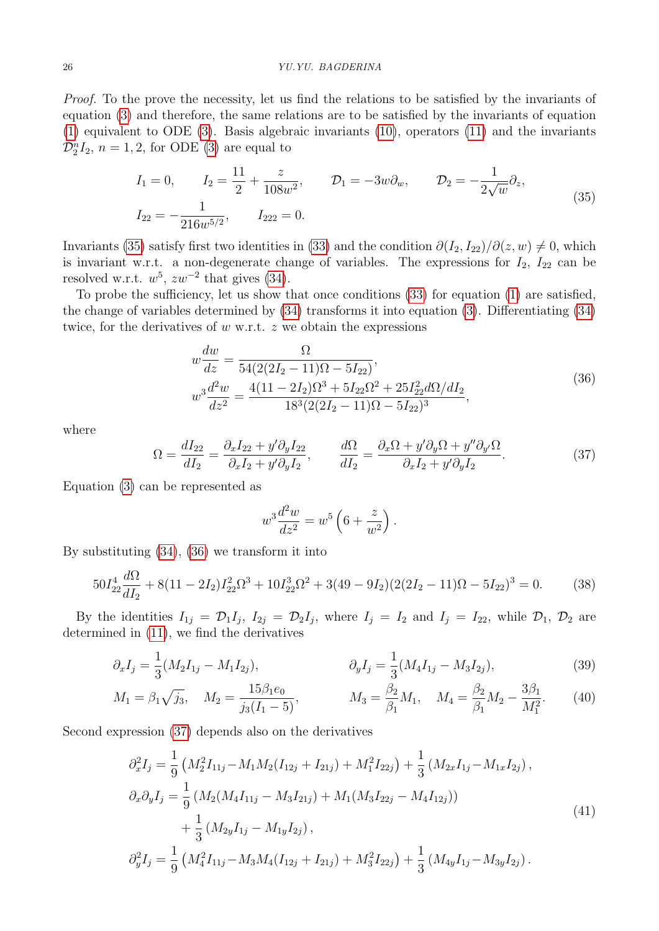### 26 YU.YU. BAGDERINA

Proof. To the prove the necessity, let us find the relations to be satisfied by the invariants of equation [\(3\)](#page-0-3) and therefore, the same relations are to be satisfied by the invariants of equation [\(1\)](#page-0-0) equivalent to ODE [\(3\)](#page-0-3). Basis algebraic invariants [\(10\)](#page-2-4), operators [\(11\)](#page-2-1) and the invariants  $\mathcal{D}_2^n I_2$ ,  $n = 1, 2$ , for ODE [\(3\)](#page-0-3) are equal to

<span id="page-7-0"></span>
$$
I_1 = 0, \t I_2 = \frac{11}{2} + \frac{z}{108w^2}, \t D_1 = -3w\partial_w, \t D_2 = -\frac{1}{2\sqrt{w}}\partial_z,
$$
  

$$
I_{22} = -\frac{1}{216w^{5/2}}, \t I_{222} = 0.
$$
 (35)

Invariants [\(35\)](#page-7-0) satisfy first two identities in [\(33\)](#page-6-3) and the condition  $\partial(I_2, I_{22})/\partial(z, w) \neq 0$ , which is invariant w.r.t. a non-degenerate change of variables. The expressions for  $I_2$ ,  $I_{22}$  can be resolved w.r.t.  $w^5$ ,  $zw^{-2}$  that gives [\(34\)](#page-6-4).

To probe the sufficiency, let us show that once conditions [\(33\)](#page-6-3) for equation [\(1\)](#page-0-0) are satisfied, the change of variables determined by [\(34\)](#page-6-4) transforms it into equation [\(3\)](#page-0-3). Differentiating [\(34\)](#page-6-4) twice, for the derivatives of  $w$  w.r.t.  $z$  we obtain the expressions

<span id="page-7-1"></span>
$$
w\frac{dw}{dz} = \frac{\Omega}{54(2(2I_2 - 11)\Omega - 5I_{22})},
$$
  
\n
$$
w^3 \frac{d^2w}{dz^2} = \frac{4(11 - 2I_2)\Omega^3 + 5I_{22}\Omega^2 + 25I_{22}^2d\Omega/dI_2}{18^3(2(2I_2 - 11)\Omega - 5I_{22})^3},
$$
\n(36)

where

<span id="page-7-2"></span>
$$
\Omega = \frac{dI_{22}}{dI_2} = \frac{\partial_x I_{22} + y' \partial_y I_{22}}{\partial_x I_2 + y' \partial_y I_2}, \qquad \frac{d\Omega}{dI_2} = \frac{\partial_x \Omega + y' \partial_y \Omega + y'' \partial_{y'} \Omega}{\partial_x I_2 + y' \partial_y I_2}.
$$
\n(37)

Equation [\(3\)](#page-0-3) can be represented as

<span id="page-7-4"></span><span id="page-7-3"></span>
$$
w^3 \frac{d^2 w}{dz^2} = w^5 \left(6 + \frac{z}{w^2}\right).
$$

By substituting [\(34\)](#page-6-4), [\(36\)](#page-7-1) we transform it into

<span id="page-7-6"></span>
$$
50I_{22}^4 \frac{d\Omega}{dI_2} + 8(11 - 2I_2)I_{22}^2 \Omega^3 + 10I_{22}^3 \Omega^2 + 3(49 - 9I_2)(2(2I_2 - 11)\Omega - 5I_{22})^3 = 0.
$$
 (38)

By the identities  $I_{1j} = \mathcal{D}_1 I_j$ ,  $I_{2j} = \mathcal{D}_2 I_j$ , where  $I_j = I_2$  and  $I_j = I_{22}$ , while  $\mathcal{D}_1$ ,  $\mathcal{D}_2$  are determined in [\(11\)](#page-2-1), we find the derivatives

$$
\partial_x I_j = \frac{1}{3} (M_2 I_{1j} - M_1 I_{2j}), \qquad \partial_y I_j = \frac{1}{3} (M_4 I_{1j} - M_3 I_{2j}), \qquad (39)
$$

$$
M_1 = \beta_1 \sqrt{j_3}, \quad M_2 = \frac{15 \beta_1 e_0}{j_3 (I_1 - 5)}, \qquad M_3 = \frac{\beta_2}{\beta_1} M_1, \quad M_4 = \frac{\beta_2}{\beta_1} M_2 - \frac{3 \beta_1}{M_1^2}.
$$
 (40)

Second expression [\(37\)](#page-7-2) depends also on the derivatives

<span id="page-7-5"></span>
$$
\partial_x^2 I_j = \frac{1}{9} \left( M_2^2 I_{11j} - M_1 M_2 (I_{12j} + I_{21j}) + M_1^2 I_{22j} \right) + \frac{1}{3} \left( M_{2x} I_{1j} - M_{1x} I_{2j} \right),
$$
  
\n
$$
\partial_x \partial_y I_j = \frac{1}{9} \left( M_2 (M_4 I_{11j} - M_3 I_{21j}) + M_1 (M_3 I_{22j} - M_4 I_{12j}) \right) + \frac{1}{3} \left( M_{2y} I_{1j} - M_{1y} I_{2j} \right),
$$
  
\n
$$
\partial_y^2 I_j = \frac{1}{9} \left( M_4^2 I_{11j} - M_3 M_4 (I_{12j} + I_{21j}) + M_3^2 I_{22j} \right) + \frac{1}{3} \left( M_{4y} I_{1j} - M_{3y} I_{2j} \right).
$$
\n(41)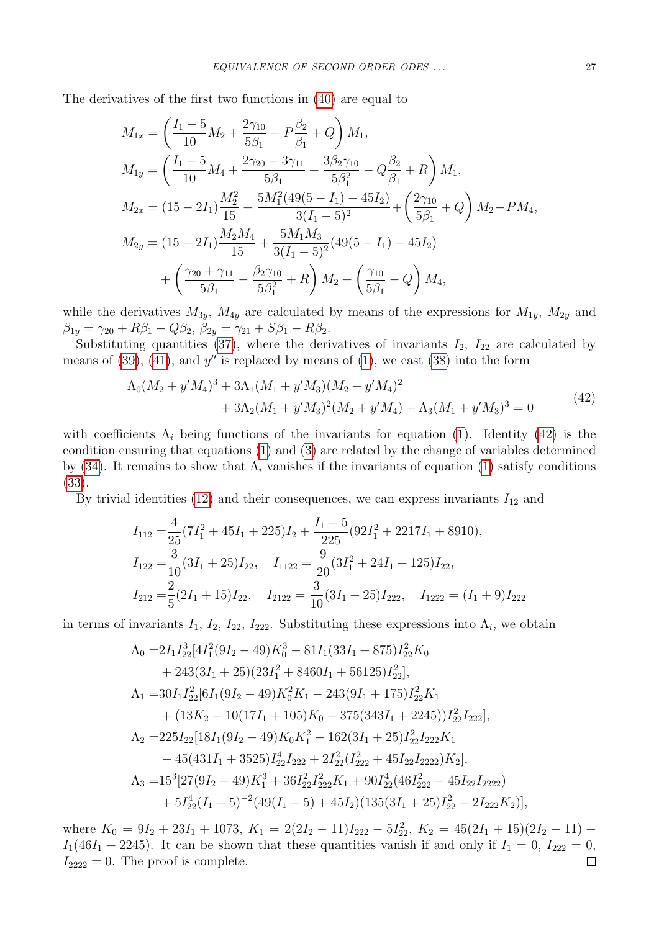The derivatives of the first two functions in [\(40\)](#page-7-3) are equal to

$$
M_{1x} = \left(\frac{I_1 - 5}{10}M_2 + \frac{2\gamma_{10}}{5\beta_1} - P\frac{\beta_2}{\beta_1} + Q\right)M_1,
$$
  
\n
$$
M_{1y} = \left(\frac{I_1 - 5}{10}M_4 + \frac{2\gamma_{20} - 3\gamma_{11}}{5\beta_1} + \frac{3\beta_2\gamma_{10}}{5\beta_1^2} - Q\frac{\beta_2}{\beta_1} + R\right)M_1,
$$
  
\n
$$
M_{2x} = (15 - 2I_1)\frac{M_2^2}{15} + \frac{5M_1^2(49(5 - I_1) - 45I_2)}{3(I_1 - 5)^2} + \left(\frac{2\gamma_{10}}{5\beta_1} + Q\right)M_2 - PM_4,
$$
  
\n
$$
M_{2y} = (15 - 2I_1)\frac{M_2M_4}{15} + \frac{5M_1M_3}{3(I_1 - 5)^2}(49(5 - I_1) - 45I_2)
$$
  
\n
$$
+ \left(\frac{\gamma_{20} + \gamma_{11}}{5\beta_1} - \frac{\beta_2\gamma_{10}}{5\beta_1^2} + R\right)M_2 + \left(\frac{\gamma_{10}}{5\beta_1} - Q\right)M_4,
$$

while the derivatives  $M_{3y}$ ,  $M_{4y}$  are calculated by means of the expressions for  $M_{1y}$ ,  $M_{2y}$  and  $\beta_{1y} = \gamma_{20} + R\beta_1 - Q\beta_2, \ \beta_{2y} = \gamma_{21} + S\beta_1 - R\beta_2.$ 

Substituting quantities [\(37\)](#page-7-2), where the derivatives of invariants  $I_2$ ,  $I_{22}$  are calculated by means of  $(39)$ ,  $(41)$ , and  $y''$  is replaced by means of  $(1)$ , we cast  $(38)$  into the form

<span id="page-8-0"></span>
$$
\Lambda_0(M_2 + y'M_4)^3 + 3\Lambda_1(M_1 + y'M_3)(M_2 + y'M_4)^2
$$
  
+ 
$$
3\Lambda_2(M_1 + y'M_3)^2(M_2 + y'M_4) + \Lambda_3(M_1 + y'M_3)^3 = 0
$$
 (42)

with coefficients  $\Lambda_i$  being functions of the invariants for equation [\(1\)](#page-0-0). Identity [\(42\)](#page-8-0) is the condition ensuring that equations [\(1\)](#page-0-0) and [\(3\)](#page-0-3) are related by the change of variables determined by [\(34\)](#page-6-4). It remains to show that  $\Lambda_i$  vanishes if the invariants of equation [\(1\)](#page-0-0) satisfy conditions [\(33\)](#page-6-3).

By trivial identities [\(12\)](#page-2-3) and their consequences, we can express invariants  $I_{12}$  and

$$
I_{112} = \frac{4}{25}(7I_1^2 + 45I_1 + 225)I_2 + \frac{I_1 - 5}{225}(92I_1^2 + 2217I_1 + 8910),
$$
  
\n
$$
I_{122} = \frac{3}{10}(3I_1 + 25)I_{22}, \quad I_{1122} = \frac{9}{20}(3I_1^2 + 24I_1 + 125)I_{22},
$$
  
\n
$$
I_{212} = \frac{2}{5}(2I_1 + 15)I_{22}, \quad I_{2122} = \frac{3}{10}(3I_1 + 25)I_{222}, \quad I_{1222} = (I_1 + 9)I_{222}
$$

in terms of invariants  $I_1$ ,  $I_2$ ,  $I_{22}$ ,  $I_{222}$ . Substituting these expressions into  $\Lambda_i$ , we obtain

$$
\Lambda_0 = 2I_1 I_{22}^3 [4I_1^2 (9I_2 - 49) K_0^3 - 81I_1 (33I_1 + 875) I_{22}^2 K_0 \n+ 243(3I_1 + 25) (23I_1^2 + 8460I_1 + 56125) I_{22}^2],
$$
\n
$$
\Lambda_1 = 30I_1 I_{22}^2 [6I_1 (9I_2 - 49) K_0^2 K_1 - 243(9I_1 + 175) I_{22}^2 K_1 \n+ (13K_2 - 10(17I_1 + 105) K_0 - 375(343I_1 + 2245)) I_{22}^2 I_{222}],
$$
\n
$$
\Lambda_2 = 225I_{22} [18I_1 (9I_2 - 49) K_0 K_1^2 - 162(3I_1 + 25) I_{22}^2 I_{222} K_1 \n- 45(431I_1 + 3525) I_{22}^4 I_{222} + 2I_{22}^2 (I_{222}^2 + 45I_{22}I_{2222}) K_2],
$$
\n
$$
\Lambda_3 = 15^3 [27(9I_2 - 49) K_1^3 + 36I_{22}^2 I_{222}^2 K_1 + 90I_{22}^4 (46I_{222}^2 - 45I_{22}I_{2222}) \n+ 5I_{22}^4 (I_1 - 5)^{-2} (49(I_1 - 5) + 45I_2) (135(3I_1 + 25) I_{22}^2 - 2I_{222} K_2)],
$$

where  $K_0 = 9I_2 + 23I_1 + 1073$ ,  $K_1 = 2(2I_2 - 11)I_{222} - 5I_{22}^2$ ,  $K_2 = 45(2I_1 + 15)(2I_2 - 11) +$  $I_1(46I_1 + 2245)$ . It can be shown that these quantities vanish if and only if  $I_1 = 0$ ,  $I_{222} = 0$ ,  $I_{2222} = 0$ . The proof is complete.  $\Box$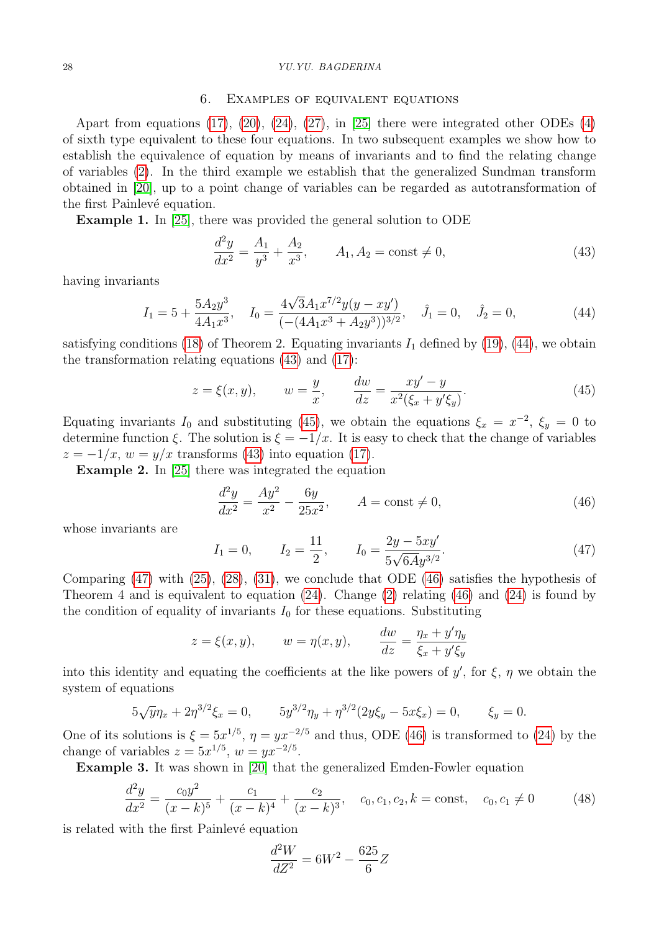### 28 YU.YU. BAGDERINA

#### 6. Examples of equivalent equations

Apart from equations  $(17)$ ,  $(20)$ ,  $(24)$ ,  $(27)$ , in  $[25]$  there were integrated other ODEs  $(4)$ of sixth type equivalent to these four equations. In two subsequent examples we show how to establish the equivalence of equation by means of invariants and to find the relating change of variables [\(2\)](#page-0-1). In the third example we establish that the generalized Sundman transform obtained in [\[20\]](#page-11-2), up to a point change of variables can be regarded as autotransformation of the first Painlevé equation.

Example 1. In [\[25\]](#page-11-7), there was provided the general solution to ODE

<span id="page-9-1"></span>
$$
\frac{d^2y}{dx^2} = \frac{A_1}{y^3} + \frac{A_2}{x^3}, \qquad A_1, A_2 = \text{const} \neq 0,
$$
\n(43)

having invariants

<span id="page-9-0"></span>
$$
I_1 = 5 + \frac{5A_2y^3}{4A_1x^3}, \quad I_0 = \frac{4\sqrt{3}A_1x^{7/2}y(y - xy')}{\left(-(4A_1x^3 + A_2y^3)\right)^{3/2}}, \quad \hat{J}_1 = 0, \quad \hat{J}_2 = 0,
$$
\n
$$
(44)
$$

satisfying conditions [\(18\)](#page-5-2) of Theorem 2. Equating invariants  $I_1$  defined by [\(19\)](#page-5-3), [\(44\)](#page-9-0), we obtain the transformation relating equations [\(43\)](#page-9-1) and [\(17\)](#page-4-3):

<span id="page-9-2"></span>
$$
z = \xi(x, y), \qquad w = \frac{y}{x}, \qquad \frac{dw}{dz} = \frac{xy' - y}{x^2(\xi_x + y'\xi_y)}.\tag{45}
$$

Equating invariants  $I_0$  and substituting [\(45\)](#page-9-2), we obtain the equations  $\xi_x = x^{-2}$ ,  $\xi_y = 0$  to determine function  $\xi$ . The solution is  $\xi = -1/x$ . It is easy to check that the change of variables  $z = -1/x$ ,  $w = y/x$  transforms [\(43\)](#page-9-1) into equation [\(17\)](#page-4-3).

Example 2. In [\[25\]](#page-11-7) there was integrated the equation

<span id="page-9-4"></span>
$$
\frac{d^2y}{dx^2} = \frac{Ay^2}{x^2} - \frac{6y}{25x^2}, \qquad A = \text{const} \neq 0,
$$
\n(46)

whose invariants are

<span id="page-9-3"></span>
$$
I_1 = 0,
$$
  $I_2 = \frac{11}{2},$   $I_0 = \frac{2y - 5xy'}{5\sqrt{6A}y^{3/2}}.$  (47)

Comparing [\(47\)](#page-9-3) with [\(25\)](#page-6-5), [\(28\)](#page-6-6), [\(31\)](#page-6-7), we conclude that ODE [\(46\)](#page-9-4) satisfies the hypothesis of Theorem 4 and is equivalent to equation  $(24)$ . Change  $(2)$  relating  $(46)$  and  $(24)$  is found by the condition of equality of invariants  $I_0$  for these equations. Substituting

$$
z = \xi(x, y), \qquad w = \eta(x, y), \qquad \frac{dw}{dz} = \frac{\eta_x + y'\eta_y}{\xi_x + y'\xi_y}
$$

into this identity and equating the coefficients at the like powers of  $y'$ , for  $\xi$ ,  $\eta$  we obtain the system of equations

$$
5\sqrt{y}\eta_x + 2\eta^{3/2}\xi_x = 0, \qquad 5y^{3/2}\eta_y + \eta^{3/2}(2y\xi_y - 5x\xi_x) = 0, \qquad \xi_y = 0.
$$

One of its solutions is  $\xi = 5x^{1/5}$ ,  $\eta = yx^{-2/5}$  and thus, ODE [\(46\)](#page-9-4) is transformed to [\(24\)](#page-6-0) by the change of variables  $z = 5x^{1/5}$ ,  $w = yx^{-2/5}$ .

Example 3. It was shown in [\[20\]](#page-11-2) that the generalized Emden-Fowler equation

<span id="page-9-5"></span>
$$
\frac{d^2y}{dx^2} = \frac{c_0y^2}{(x-k)^5} + \frac{c_1}{(x-k)^4} + \frac{c_2}{(x-k)^3}, \quad c_0, c_1, c_2, k = \text{const}, \quad c_0, c_1 \neq 0 \tag{48}
$$

is related with the first Painlevé equation

$$
\frac{d^2W}{dZ^2} = 6W^2 - \frac{625}{6}Z
$$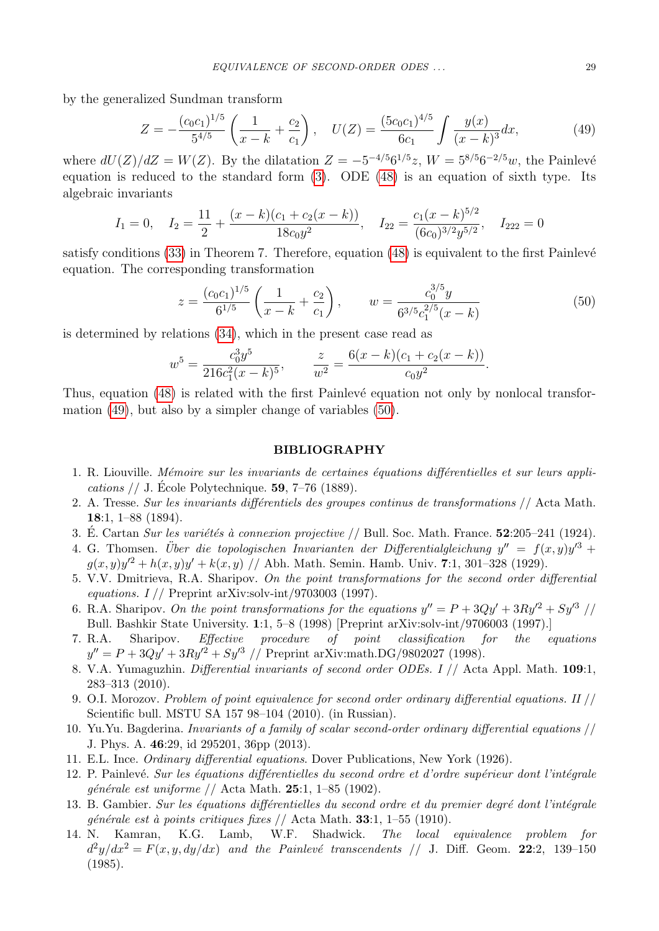by the generalized Sundman transform

<span id="page-10-11"></span>
$$
Z = -\frac{(c_0 c_1)^{1/5}}{5^{4/5}} \left( \frac{1}{x - k} + \frac{c_2}{c_1} \right), \quad U(Z) = \frac{(5c_0 c_1)^{4/5}}{6c_1} \int \frac{y(x)}{(x - k)^3} dx,\tag{49}
$$

where  $dU(Z)/dZ = W(Z)$ . By the dilatation  $Z = -5^{-4/5}6^{1/5}z$ ,  $W = 5^{8/5}6^{-2/5}w$ , the Painlevé equation is reduced to the standard form [\(3\)](#page-0-3). ODE [\(48\)](#page-9-5) is an equation of sixth type. Its algebraic invariants

$$
I_1 = 0
$$
,  $I_2 = \frac{11}{2} + \frac{(x-k)(c_1+c_2(x-k))}{18c_0y^2}$ ,  $I_{22} = \frac{c_1(x-k)^{5/2}}{(6c_0)^{3/2}y^{5/2}}$ ,  $I_{222} = 0$ 

satisfy conditions  $(33)$  in Theorem 7. Therefore, equation  $(48)$  is equivalent to the first Painlevé equation. The corresponding transformation

<span id="page-10-12"></span>
$$
z = \frac{(c_0 c_1)^{1/5}}{6^{1/5}} \left( \frac{1}{x - k} + \frac{c_2}{c_1} \right), \qquad w = \frac{c_0^{3/5} y}{6^{3/5} c_1^{2/5} (x - k)} \tag{50}
$$

is determined by relations [\(34\)](#page-6-4), which in the present case read as

$$
w^5 = \frac{c_0^3 y^5}{216c_1^2(x-k)^5}, \qquad \frac{z}{w^2} = \frac{6(x-k)(c_1+c_2(x-k))}{c_0 y^2}.
$$

Thus, equation  $(48)$  is related with the first Painlevé equation not only by nonlocal transformation [\(49\)](#page-10-11), but also by a simpler change of variables [\(50\)](#page-10-12).

### BIBLIOGRAPHY

- <span id="page-10-0"></span>1. R. Liouville. Mémoire sur les invariants de certaines équations différentielles et sur leurs appli*cations* // J. Ecole Polytechnique. **59**,  $7-76$  (1889).
- 2. A. Tresse. Sur les invariants différentiels des groupes continus de transformations  $//$  Acta Math. 18:1, 1–88 (1894).
- 3. É. Cartan Sur les variétés à connexion projective  $//$  Bull. Soc. Math. France. 52:205–241 (1924).
- 4. G. Thomsen. Über die topologischen Invarianten der Differentialgleichung  $y'' = f(x, y)y'^3 +$  $g(x, y)y'^2 + h(x, y)y' + k(x, y)$  // Abh. Math. Semin. Hamb. Univ. 7:1, 301-328 (1929).
- <span id="page-10-6"></span>5. V.V. Dmitrieva, R.A. Sharipov. On the point transformations for the second order differential equations.  $I$  // Preprint arXiv:solv-int/9703003 (1997).
- <span id="page-10-8"></span>6. R.A. Sharipov. On the point transformations for the equations  $y'' = P + 3Qy' + 3Ry'^2 + Sy'^3$  // Bull. Bashkir State University. 1:1, 5–8 (1998) [Preprint arXiv:solv-int/9706003 (1997).]
- <span id="page-10-9"></span>7. R.A. Sharipov. Effective procedure of point classification for the equations  $y'' = P + 3Qy' + 3Ry'^2 + Sy'^3$  // Preprint arXiv:math.DG/9802027 (1998).
- <span id="page-10-7"></span>8. V.A. Yumaguzhin. Differential invariants of second order ODEs. I // Acta Appl. Math. 109:1, 283–313 (2010).
- <span id="page-10-10"></span>9. O.I. Morozov. Problem of point equivalence for second order ordinary differential equations. II // Scientific bull. MSTU SA 157 98–104 (2010). (in Russian).
- <span id="page-10-1"></span>10. Yu.Yu. Bagderina. Invariants of a family of scalar second-order ordinary differential equations // J. Phys. A. 46:29, id 295201, 36pp (2013).
- <span id="page-10-2"></span>11. E.L. Ince. Ordinary differential equations. Dover Publications, New York (1926).
- <span id="page-10-3"></span>12. P. Painlevé. Sur les équations différentielles du second ordre et d'ordre supérieur dont l'intégrale générale est uniforme // Acta Math. 25:1, 1–85 (1902).
- <span id="page-10-4"></span>13. B. Gambier. Sur les équations différentielles du second ordre et du premier degré dont l'intégrale générale est à points critiques fixes // Acta Math. 33:1, 1–55 (1910).
- <span id="page-10-5"></span>14. N. Kamran, K.G. Lamb, W.F. Shadwick. The local equivalence problem for  $d^2y/dx^2 = F(x, y, dy/dx)$  and the Painlevé transcendents // J. Diff. Geom. 22:2, 139-150 (1985).